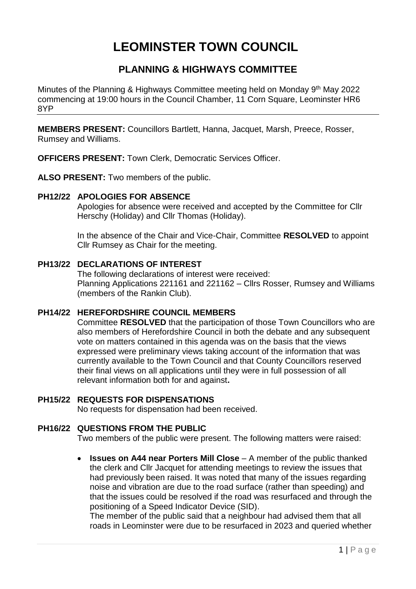# **LEOMINSTER TOWN COUNCIL**

# **PLANNING & HIGHWAYS COMMITTEE**

Minutes of the Planning & Highways Committee meeting held on Monday 9<sup>th</sup> May 2022 commencing at 19:00 hours in the Council Chamber, 11 Corn Square, Leominster HR6 8YP

**MEMBERS PRESENT:** Councillors Bartlett, Hanna, Jacquet, Marsh, Preece, Rosser, Rumsey and Williams.

**OFFICERS PRESENT:** Town Clerk, Democratic Services Officer.

**ALSO PRESENT:** Two members of the public.

## **PH12/22 APOLOGIES FOR ABSENCE**

Apologies for absence were received and accepted by the Committee for Cllr Herschy (Holiday) and Cllr Thomas (Holiday).

In the absence of the Chair and Vice-Chair, Committee **RESOLVED** to appoint Cllr Rumsey as Chair for the meeting.

## **PH13/22 DECLARATIONS OF INTEREST**

The following declarations of interest were received: Planning Applications 221161 and 221162 – Cllrs Rosser, Rumsey and Williams (members of the Rankin Club).

# **PH14/22 HEREFORDSHIRE COUNCIL MEMBERS**

Committee **RESOLVED** that the participation of those Town Councillors who are also members of Herefordshire Council in both the debate and any subsequent vote on matters contained in this agenda was on the basis that the views expressed were preliminary views taking account of the information that was currently available to the Town Council and that County Councillors reserved their final views on all applications until they were in full possession of all relevant information both for and against**.**

## **PH15/22 REQUESTS FOR DISPENSATIONS**

No requests for dispensation had been received.

# **PH16/22 QUESTIONS FROM THE PUBLIC**

Two members of the public were present. The following matters were raised:

 **Issues on A44 near Porters Mill Close** – A member of the public thanked the clerk and Cllr Jacquet for attending meetings to review the issues that had previously been raised. It was noted that many of the issues regarding noise and vibration are due to the road surface (rather than speeding) and that the issues could be resolved if the road was resurfaced and through the positioning of a Speed Indicator Device (SID).

The member of the public said that a neighbour had advised them that all roads in Leominster were due to be resurfaced in 2023 and queried whether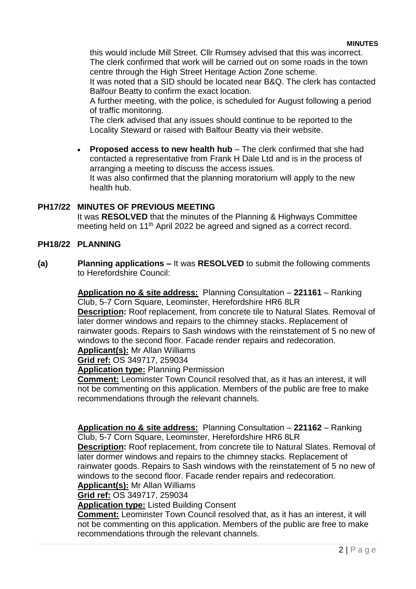this would include Mill Street. Cllr Rumsey advised that this was incorrect. The clerk confirmed that work will be carried out on some roads in the town centre through the High Street Heritage Action Zone scheme.

It was noted that a SID should be located near B&Q. The clerk has contacted Balfour Beatty to confirm the exact location.

A further meeting, with the police, is scheduled for August following a period of traffic monitoring.

The clerk advised that any issues should continue to be reported to the Locality Steward or raised with Balfour Beatty via their website.

 **Proposed access to new health hub** – The clerk confirmed that she had contacted a representative from Frank H Dale Ltd and is in the process of arranging a meeting to discuss the access issues. It was also confirmed that the planning moratorium will apply to the new health hub.

# **PH17/22 MINUTES OF PREVIOUS MEETING**

It was **RESOLVED** that the minutes of the Planning & Highways Committee meeting held on 11th April 2022 be agreed and signed as a correct record.

# **PH18/22 PLANNING**

**(a) Planning applications –** It was **RESOLVED** to submit the following comments to Herefordshire Council:

> **Application no & site address:** Planning Consultation – **221161** – Ranking Club, 5-7 Corn Square, Leominster, Herefordshire HR6 8LR

**Description:** Roof replacement, from concrete tile to Natural Slates. Removal of later dormer windows and repairs to the chimney stacks. Replacement of rainwater goods. Repairs to Sash windows with the reinstatement of 5 no new of windows to the second floor. Facade render repairs and redecoration.

**Applicant(s):** Mr Allan Williams

**Grid ref:** OS 349717, 259034

**Application type:** Planning Permission

**Comment:** Leominster Town Council resolved that, as it has an interest, it will not be commenting on this application. Members of the public are free to make recommendations through the relevant channels.

**Application no & site address:** Planning Consultation – **221162** – Ranking Club, 5-7 Corn Square, Leominster, Herefordshire HR6 8LR

**Description:** Roof replacement, from concrete tile to Natural Slates. Removal of later dormer windows and repairs to the chimney stacks. Replacement of rainwater goods. Repairs to Sash windows with the reinstatement of 5 no new of windows to the second floor. Facade render repairs and redecoration.

**Applicant(s):** Mr Allan Williams

**Grid ref:** OS 349717, 259034

**Application type:** Listed Building Consent

**Comment:** Leominster Town Council resolved that, as it has an interest, it will not be commenting on this application. Members of the public are free to make recommendations through the relevant channels.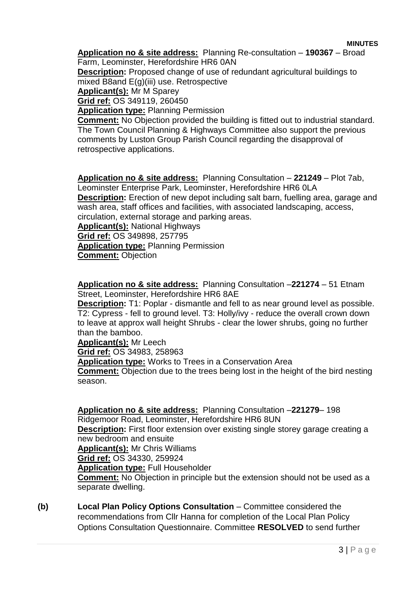#### **MINUTES**

**Application no & site address:** Planning Re-consultation – **190367** – Broad Farm, Leominster, Herefordshire HR6 0AN

**Description:** Proposed change of use of redundant agricultural buildings to mixed B8and E(g)(iii) use. Retrospective

**Applicant(s):** Mr M Sparey

**Grid ref:** OS 349119, 260450

**Application type:** Planning Permission

**Comment:** No Objection provided the building is fitted out to industrial standard. The Town Council Planning & Highways Committee also support the previous comments by Luston Group Parish Council regarding the disapproval of retrospective applications.

**Application no & site address:** Planning Consultation – **221249** – Plot 7ab, Leominster Enterprise Park, Leominster, Herefordshire HR6 0LA **Description:** Erection of new depot including salt barn, fuelling area, garage and wash area, staff offices and facilities, with associated landscaping, access, circulation, external storage and parking areas. **Applicant(s):** National Highways

**Grid ref:** OS 349898, 257795

**Application type:** Planning Permission

**Comment:** Objection

**Application no & site address:** Planning Consultation –**221274** – 51 Etnam Street, Leominster, Herefordshire HR6 8AE

**Description:** T1: Poplar - dismantle and fell to as near ground level as possible. T2: Cypress - fell to ground level. T3: Holly/ivy - reduce the overall crown down to leave at approx wall height Shrubs - clear the lower shrubs, going no further than the bamboo.

**Applicant(s):** Mr Leech

**Grid ref:** OS 34983, 258963

**Application type:** Works to Trees in a Conservation Area

**Comment:** Objection due to the trees being lost in the height of the bird nesting season.

**Application no & site address:** Planning Consultation –**221279**– 198 Ridgemoor Road, Leominster, Herefordshire HR6 8UN **Description:** First floor extension over existing single storey garage creating a

new bedroom and ensuite

**Applicant(s):** Mr Chris Williams

**Grid ref:** OS 34330, 259924

**Application type:** Full Householder

**Comment:** No Objection in principle but the extension should not be used as a separate dwelling.

**(b) Local Plan Policy Options Consultation** – Committee considered the recommendations from Cllr Hanna for completion of the Local Plan Policy Options Consultation Questionnaire. Committee **RESOLVED** to send further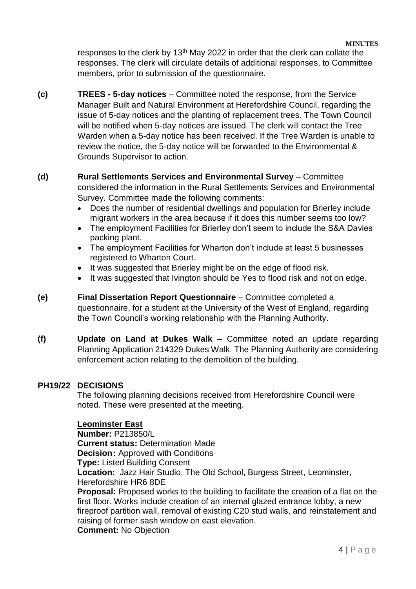responses to the clerk by  $13<sup>th</sup>$  May 2022 in order that the clerk can collate the responses. The clerk will circulate details of additional responses, to Committee members, prior to submission of the questionnaire.

**(c) TREES - 5-day notices** – Committee noted the response, from the Service Manager Built and Natural Environment at Herefordshire Council, regarding the issue of 5-day notices and the planting of replacement trees. The Town Council will be notified when 5-day notices are issued. The clerk will contact the Tree Warden when a 5-day notice has been received. If the Tree Warden is unable to review the notice, the 5-day notice will be forwarded to the Environmental & Grounds Supervisor to action.

# **(d) Rural Settlements Services and Environmental Survey** – Committee

considered the information in the Rural Settlements Services and Environmental Survey. Committee made the following comments:

- Does the number of residential dwellings and population for Brierley include migrant workers in the area because if it does this number seems too low?
- The employment Facilities for Brierley don't seem to include the S&A Davies packing plant.
- The employment Facilities for Wharton don't include at least 5 businesses registered to Wharton Court.
- It was suggested that Brierley might be on the edge of flood risk.
- It was suggested that Ivington should be Yes to flood risk and not on edge.
- **(e) Final Dissertation Report Questionnaire**  Committee completed a questionnaire, for a student at the University of the West of England, regarding the Town Council's working relationship with the Planning Authority.
- **(f) Update on Land at Dukes Walk –** Committee noted an update regarding Planning Application 214329 Dukes Walk. The Planning Authority are considering enforcement action relating to the demolition of the building.

## **PH19/22 DECISIONS**

The following planning decisions received from Herefordshire Council were noted. These were presented at the meeting.

## **Leominster East**

**Number:** P213850/L **Current status:** Determination Made **Decision: Approved with Conditions Type:** Listed Building Consent **Location:** Jazz Hair Studio, The Old School, Burgess Street, Leominster, Herefordshire HR6 8DE **Proposal:** Proposed works to the building to facilitate the creation of a flat on the first floor. Works include creation of an internal glazed entrance lobby, a new fireproof partition wall, removal of existing C20 stud walls, and reinstatement and raising of former sash window on east elevation.

**Comment:** No Objection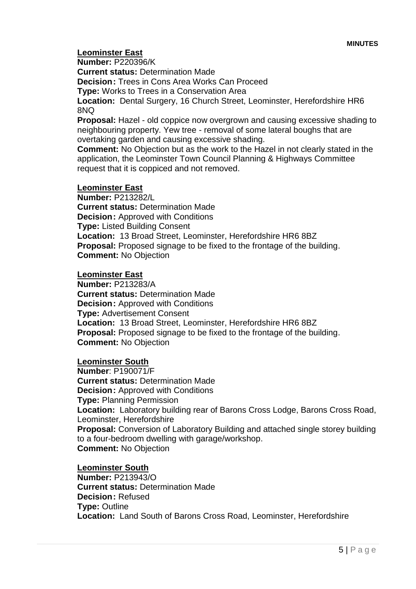# **Leominster East**

#### **Number:** P220396/K

**Current status:** Determination Made

**Decision:** Trees in Cons Area Works Can Proceed

**Type:** Works to Trees in a Conservation Area

**Location:** Dental Surgery, 16 Church Street, Leominster, Herefordshire HR6 8NQ

**Proposal:** Hazel - old coppice now overgrown and causing excessive shading to neighbouring property. Yew tree - removal of some lateral boughs that are overtaking garden and causing excessive shading.

**Comment:** No Objection but as the work to the Hazel in not clearly stated in the application, the Leominster Town Council Planning & Highways Committee request that it is coppiced and not removed.

## **Leominster East**

**Number:** P213282/L **Current status:** Determination Made **Decision:** Approved with Conditions **Type:** Listed Building Consent **Location:** 13 Broad Street, Leominster, Herefordshire HR6 8BZ **Proposal:** Proposed signage to be fixed to the frontage of the building. **Comment:** No Objection

#### **Leominster East**

**Number:** P213283/A **Current status:** Determination Made **Decision:** Approved with Conditions **Type:** Advertisement Consent **Location:** 13 Broad Street, Leominster, Herefordshire HR6 8BZ **Proposal:** Proposed signage to be fixed to the frontage of the building. **Comment:** No Objection

#### **Leominster South**

**Number**: P190071/F **Current status:** Determination Made **Decision:** Approved with Conditions **Type:** Planning Permission **Location:** Laboratory building rear of Barons Cross Lodge, Barons Cross Road, Leominster, Herefordshire **Proposal:** Conversion of Laboratory Building and attached single storey building to a four-bedroom dwelling with garage/workshop. **Comment:** No Objection

#### **Leominster South**

**Number:** P213943/O **Current status:** Determination Made **Decision:** Refused **Type:** Outline **Location:** Land South of Barons Cross Road, Leominster, Herefordshire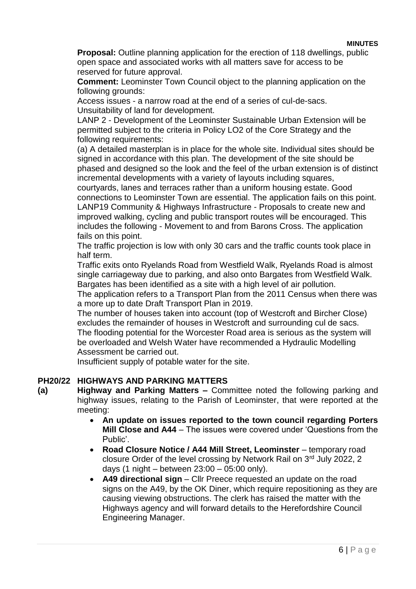#### **MINUTES**

**Proposal:** Outline planning application for the erection of 118 dwellings, public open space and associated works with all matters save for access to be reserved for future approval.

**Comment:** Leominster Town Council object to the planning application on the following grounds:

Access issues - a narrow road at the end of a series of cul-de-sacs. Unsuitability of land for development.

LANP 2 - Development of the Leominster Sustainable Urban Extension will be permitted subject to the criteria in Policy LO2 of the Core Strategy and the following requirements:

(a) A detailed masterplan is in place for the whole site. Individual sites should be signed in accordance with this plan. The development of the site should be phased and designed so the look and the feel of the urban extension is of distinct incremental developments with a variety of layouts including squares,

courtyards, lanes and terraces rather than a uniform housing estate. Good connections to Leominster Town are essential. The application fails on this point. LANP19 Community & Highways Infrastructure - Proposals to create new and improved walking, cycling and public transport routes will be encouraged. This includes the following - Movement to and from Barons Cross. The application fails on this point.

The traffic projection is low with only 30 cars and the traffic counts took place in half term.

Traffic exits onto Ryelands Road from Westfield Walk, Ryelands Road is almost single carriageway due to parking, and also onto Bargates from Westfield Walk. Bargates has been identified as a site with a high level of air pollution.

The application refers to a Transport Plan from the 2011 Census when there was a more up to date Draft Transport Plan in 2019.

The number of houses taken into account (top of Westcroft and Bircher Close) excludes the remainder of houses in Westcroft and surrounding cul de sacs. The flooding potential for the Worcester Road area is serious as the system will be overloaded and Welsh Water have recommended a Hydraulic Modelling Assessment be carried out.

Insufficient supply of potable water for the site.

# **PH20/22 HIGHWAYS AND PARKING MATTERS**

**(a) Highway and Parking Matters –** Committee noted the following parking and highway issues, relating to the Parish of Leominster, that were reported at the meeting:

- **An update on issues reported to the town council regarding Porters Mill Close and A44** – The issues were covered under 'Questions from the Public'.
- **Road Closure Notice / A44 Mill Street, Leominster temporary road** closure Order of the level crossing by Network Rail on 3rd July 2022, 2 days (1 night – between 23:00 – 05:00 only).
- **A49 directional sign** Cllr Preece requested an update on the road signs on the A49, by the OK Diner, which require repositioning as they are causing viewing obstructions. The clerk has raised the matter with the Highways agency and will forward details to the Herefordshire Council Engineering Manager.